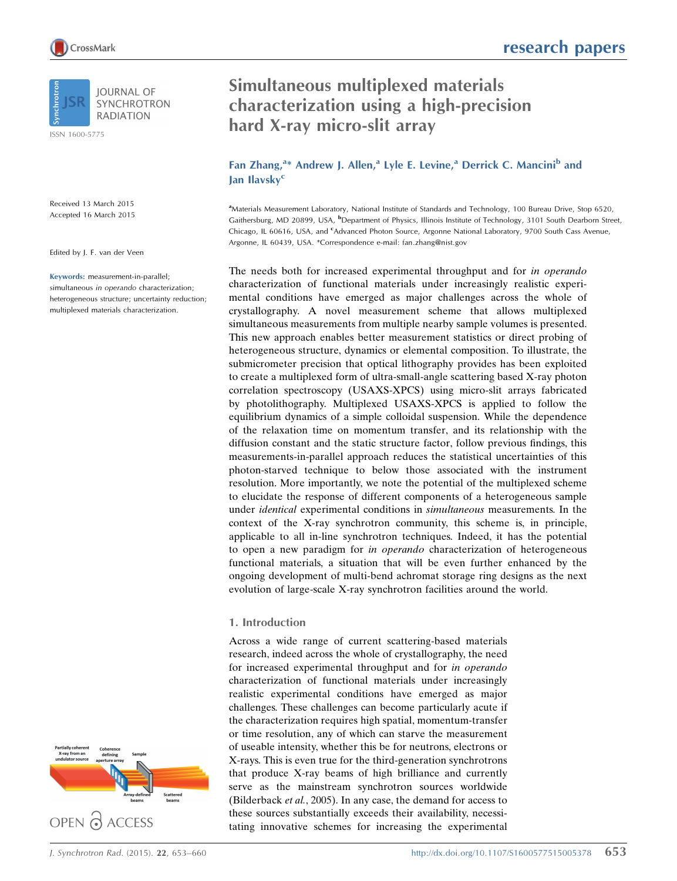

ISSN 1600-5775

Received 13 March 2015 Accepted 16 March 2015

Edited by J. F. van der Veen

Keywords: measurement-in-parallel; simultaneous in operando characterization; heterogeneous structure; uncertainty reduction; multiplexed materials characterization.



# Simultaneous multiplexed materials characterization using a high-precision hard X-ray micro-slit array

# Fan Zhang,<sup>a\*</sup> Andrew J. Allen,<sup>a</sup> Lyle E. Levine,<sup>a</sup> Derrick C. Mancini<sup>b</sup> and Jan Ilavskyc

a Materials Measurement Laboratory, National Institute of Standards and Technology, 100 Bureau Drive, Stop 6520, Gaithersburg, MD 20899, USA, <sup>b</sup>Department of Physics, Illinois Institute of Technology, 3101 South Dearborn Street, Chicago, IL 60616, USA, and <sup>c</sup>Advanced Photon Source, Argonne National Laboratory, 9700 South Cass Avenue, Argonne, IL 60439, USA. \*Correspondence e-mail: fan.zhang@nist.gov

The needs both for increased experimental throughput and for *in operando* characterization of functional materials under increasingly realistic experimental conditions have emerged as major challenges across the whole of crystallography. A novel measurement scheme that allows multiplexed simultaneous measurements from multiple nearby sample volumes is presented. This new approach enables better measurement statistics or direct probing of heterogeneous structure, dynamics or elemental composition. To illustrate, the submicrometer precision that optical lithography provides has been exploited to create a multiplexed form of ultra-small-angle scattering based X-ray photon correlation spectroscopy (USAXS-XPCS) using micro-slit arrays fabricated by photolithography. Multiplexed USAXS-XPCS is applied to follow the equilibrium dynamics of a simple colloidal suspension. While the dependence of the relaxation time on momentum transfer, and its relationship with the diffusion constant and the static structure factor, follow previous findings, this measurements-in-parallel approach reduces the statistical uncertainties of this photon-starved technique to below those associated with the instrument resolution. More importantly, we note the potential of the multiplexed scheme to elucidate the response of different components of a heterogeneous sample under identical experimental conditions in simultaneous measurements. In the context of the X-ray synchrotron community, this scheme is, in principle, applicable to all in-line synchrotron techniques. Indeed, it has the potential to open a new paradigm for in operando characterization of heterogeneous functional materials, a situation that will be even further enhanced by the ongoing development of multi-bend achromat storage ring designs as the next evolution of large-scale X-ray synchrotron facilities around the world.

## 1. Introduction

Across a wide range of current scattering-based materials research, indeed across the whole of crystallography, the need for increased experimental throughput and for in operando characterization of functional materials under increasingly realistic experimental conditions have emerged as major challenges. These challenges can become particularly acute if the characterization requires high spatial, momentum-transfer or time resolution, any of which can starve the measurement of useable intensity, whether this be for neutrons, electrons or X-rays. This is even true for the third-generation synchrotrons that produce X-ray beams of high brilliance and currently serve as the mainstream synchrotron sources worldwide (Bilderback et al., 2005). In any case, the demand for access to these sources substantially exceeds their availability, necessitating innovative schemes for increasing the experimental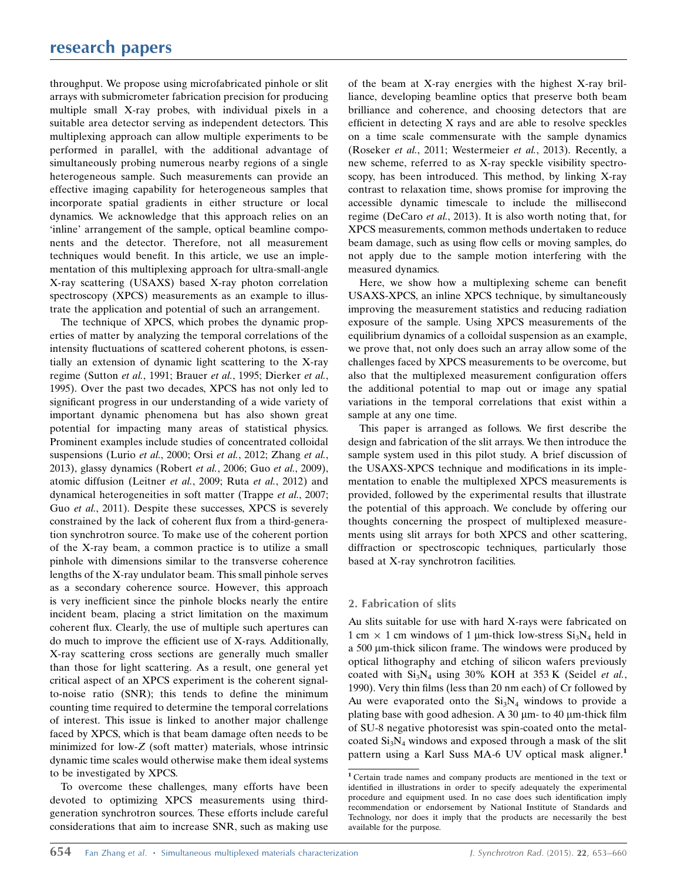throughput. We propose using microfabricated pinhole or slit arrays with submicrometer fabrication precision for producing multiple small X-ray probes, with individual pixels in a suitable area detector serving as independent detectors. This multiplexing approach can allow multiple experiments to be performed in parallel, with the additional advantage of simultaneously probing numerous nearby regions of a single heterogeneous sample. Such measurements can provide an effective imaging capability for heterogeneous samples that incorporate spatial gradients in either structure or local dynamics. We acknowledge that this approach relies on an 'inline' arrangement of the sample, optical beamline components and the detector. Therefore, not all measurement techniques would benefit. In this article, we use an implementation of this multiplexing approach for ultra-small-angle X-ray scattering (USAXS) based X-ray photon correlation spectroscopy (XPCS) measurements as an example to illustrate the application and potential of such an arrangement.

The technique of XPCS, which probes the dynamic properties of matter by analyzing the temporal correlations of the intensity fluctuations of scattered coherent photons, is essentially an extension of dynamic light scattering to the X-ray regime (Sutton et al., 1991; Brauer et al., 1995; Dierker et al., 1995). Over the past two decades, XPCS has not only led to significant progress in our understanding of a wide variety of important dynamic phenomena but has also shown great potential for impacting many areas of statistical physics. Prominent examples include studies of concentrated colloidal suspensions (Lurio et al., 2000; Orsi et al., 2012; Zhang et al., 2013), glassy dynamics (Robert et al., 2006; Guo et al., 2009), atomic diffusion (Leitner et al., 2009; Ruta et al., 2012) and dynamical heterogeneities in soft matter (Trappe et al., 2007; Guo et al., 2011). Despite these successes, XPCS is severely constrained by the lack of coherent flux from a third-generation synchrotron source. To make use of the coherent portion of the X-ray beam, a common practice is to utilize a small pinhole with dimensions similar to the transverse coherence lengths of the X-ray undulator beam. This small pinhole serves as a secondary coherence source. However, this approach is very inefficient since the pinhole blocks nearly the entire incident beam, placing a strict limitation on the maximum coherent flux. Clearly, the use of multiple such apertures can do much to improve the efficient use of X-rays. Additionally, X-ray scattering cross sections are generally much smaller than those for light scattering. As a result, one general yet critical aspect of an XPCS experiment is the coherent signalto-noise ratio (SNR); this tends to define the minimum counting time required to determine the temporal correlations of interest. This issue is linked to another major challenge faced by XPCS, which is that beam damage often needs to be minimized for low-Z (soft matter) materials, whose intrinsic dynamic time scales would otherwise make them ideal systems to be investigated by XPCS.

To overcome these challenges, many efforts have been devoted to optimizing XPCS measurements using thirdgeneration synchrotron sources. These efforts include careful considerations that aim to increase SNR, such as making use

of the beam at X-ray energies with the highest X-ray brilliance, developing beamline optics that preserve both beam brilliance and coherence, and choosing detectors that are efficient in detecting X rays and are able to resolve speckles on a time scale commensurate with the sample dynamics (Roseker et al., 2011; Westermeier et al., 2013). Recently, a new scheme, referred to as X-ray speckle visibility spectroscopy, has been introduced. This method, by linking X-ray contrast to relaxation time, shows promise for improving the accessible dynamic timescale to include the millisecond regime (DeCaro et al., 2013). It is also worth noting that, for XPCS measurements, common methods undertaken to reduce beam damage, such as using flow cells or moving samples, do not apply due to the sample motion interfering with the measured dynamics.

Here, we show how a multiplexing scheme can benefit USAXS-XPCS, an inline XPCS technique, by simultaneously improving the measurement statistics and reducing radiation exposure of the sample. Using XPCS measurements of the equilibrium dynamics of a colloidal suspension as an example, we prove that, not only does such an array allow some of the challenges faced by XPCS measurements to be overcome, but also that the multiplexed measurement configuration offers the additional potential to map out or image any spatial variations in the temporal correlations that exist within a sample at any one time.

This paper is arranged as follows. We first describe the design and fabrication of the slit arrays. We then introduce the sample system used in this pilot study. A brief discussion of the USAXS-XPCS technique and modifications in its implementation to enable the multiplexed XPCS measurements is provided, followed by the experimental results that illustrate the potential of this approach. We conclude by offering our thoughts concerning the prospect of multiplexed measurements using slit arrays for both XPCS and other scattering, diffraction or spectroscopic techniques, particularly those based at X-ray synchrotron facilities.

## 2. Fabrication of slits

Au slits suitable for use with hard X-rays were fabricated on  $1 \text{ cm } \times 1 \text{ cm }$  windows of  $1 \mu$ m-thick low-stress  $Si<sub>3</sub>N<sub>4</sub>$  held in a 500  $\mu$ m-thick silicon frame. The windows were produced by optical lithography and etching of silicon wafers previously coated with  $Si<sub>3</sub>N<sub>4</sub>$  using 30% KOH at 353 K (Seidel *et al.*, 1990). Very thin films (less than 20 nm each) of Cr followed by Au were evaporated onto the  $Si<sub>3</sub>N<sub>4</sub>$  windows to provide a plating base with good adhesion. A 30  $\mu$ m- to 40  $\mu$ m-thick film of SU-8 negative photoresist was spin-coated onto the metalcoated  $Si<sub>3</sub>N<sub>4</sub>$  windows and exposed through a mask of the slit pattern using a Karl Suss MA-6 UV optical mask aligner.<sup>1</sup>

<sup>1</sup> Certain trade names and company products are mentioned in the text or identified in illustrations in order to specify adequately the experimental procedure and equipment used. In no case does such identification imply recommendation or endorsement by National Institute of Standards and Technology, nor does it imply that the products are necessarily the best available for the purpose.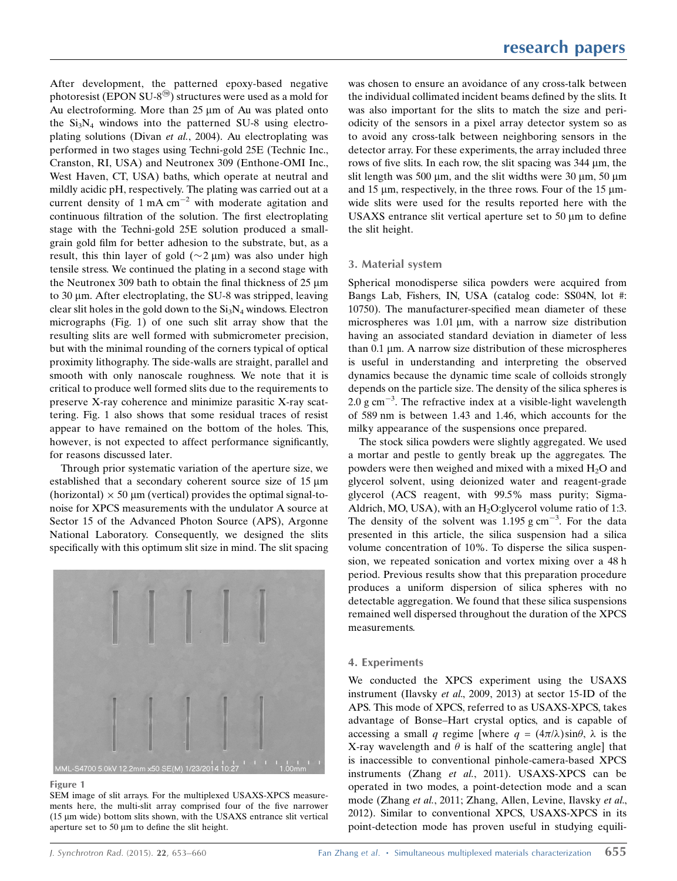After development, the patterned epoxy-based negative photoresist (EPON SU-8<sup> $($ a</sup>) structures were used as a mold for Au electroforming. More than  $25 \mu m$  of Au was plated onto the  $Si<sub>3</sub>N<sub>4</sub>$  windows into the patterned SU-8 using electroplating solutions (Divan et al., 2004). Au electroplating was performed in two stages using Techni-gold 25E (Technic Inc., Cranston, RI, USA) and Neutronex 309 (Enthone-OMI Inc., West Haven, CT, USA) baths, which operate at neutral and mildly acidic pH, respectively. The plating was carried out at a current density of  $1 \text{ mA cm}^{-2}$  with moderate agitation and continuous filtration of the solution. The first electroplating stage with the Techni-gold 25E solution produced a smallgrain gold film for better adhesion to the substrate, but, as a result, this thin layer of gold  $(\sim 2 \,\mu m)$  was also under high tensile stress. We continued the plating in a second stage with the Neutronex 309 bath to obtain the final thickness of  $25 \mu m$ to 30 μm. After electroplating, the SU-8 was stripped, leaving clear slit holes in the gold down to the  $Si<sub>3</sub>N<sub>4</sub>$  windows. Electron micrographs (Fig. 1) of one such slit array show that the resulting slits are well formed with submicrometer precision, but with the minimal rounding of the corners typical of optical proximity lithography. The side-walls are straight, parallel and smooth with only nanoscale roughness. We note that it is critical to produce well formed slits due to the requirements to preserve X-ray coherence and minimize parasitic X-ray scattering. Fig. 1 also shows that some residual traces of resist appear to have remained on the bottom of the holes. This, however, is not expected to affect performance significantly, for reasons discussed later.

Through prior systematic variation of the aperture size, we established that a secondary coherent source size of  $15 \mu m$ (horizontal)  $\times$  50  $\mu$ m (vertical) provides the optimal signal-tonoise for XPCS measurements with the undulator A source at Sector 15 of the Advanced Photon Source (APS), Argonne National Laboratory. Consequently, we designed the slits specifically with this optimum slit size in mind. The slit spacing



#### Figure 1

SEM image of slit arrays. For the multiplexed USAXS-XPCS measurements here, the multi-slit array comprised four of the five narrower  $(15 \mu m)$  wide) bottom slits shown, with the USAXS entrance slit vertical aperture set to  $50 \mu m$  to define the slit height.

was chosen to ensure an avoidance of any cross-talk between the individual collimated incident beams defined by the slits. It was also important for the slits to match the size and periodicity of the sensors in a pixel array detector system so as to avoid any cross-talk between neighboring sensors in the detector array. For these experiments, the array included three rows of five slits. In each row, the slit spacing was 344  $\mu$ m, the slit length was 500  $\mu$ m, and the slit widths were 30  $\mu$ m, 50  $\mu$ m and 15  $\mu$ m, respectively, in the three rows. Four of the 15  $\mu$ mwide slits were used for the results reported here with the USAXS entrance slit vertical aperture set to  $50 \mu m$  to define the slit height.

## 3. Material system

Spherical monodisperse silica powders were acquired from Bangs Lab, Fishers, IN, USA (catalog code: SS04N, lot #: 10750). The manufacturer-specified mean diameter of these microspheres was  $1.01 \mu m$ , with a narrow size distribution having an associated standard deviation in diameter of less than  $0.1 \mu$ m. A narrow size distribution of these microspheres is useful in understanding and interpreting the observed dynamics because the dynamic time scale of colloids strongly depends on the particle size. The density of the silica spheres is  $2.0 \text{ g cm}^{-3}$ . The refractive index at a visible-light wavelength of 589 nm is between 1.43 and 1.46, which accounts for the milky appearance of the suspensions once prepared.

The stock silica powders were slightly aggregated. We used a mortar and pestle to gently break up the aggregates. The powders were then weighed and mixed with a mixed  $H_2O$  and glycerol solvent, using deionized water and reagent-grade glycerol (ACS reagent, with 99.5% mass purity; Sigma-Aldrich, MO, USA), with an  $H_2O:glycerol$  volume ratio of 1:3. The density of the solvent was  $1.195 \text{ g cm}^{-3}$ . For the data presented in this article, the silica suspension had a silica volume concentration of 10%. To disperse the silica suspension, we repeated sonication and vortex mixing over a 48 h period. Previous results show that this preparation procedure produces a uniform dispersion of silica spheres with no detectable aggregation. We found that these silica suspensions remained well dispersed throughout the duration of the XPCS measurements.

## 4. Experiments

We conducted the XPCS experiment using the USAXS instrument (Ilavsky et al., 2009, 2013) at sector 15-ID of the APS. This mode of XPCS, referred to as USAXS-XPCS, takes advantage of Bonse–Hart crystal optics, and is capable of accessing a small q regime [where  $q = (4\pi/\lambda)\sin\theta$ ,  $\lambda$  is the X-ray wavelength and  $\theta$  is half of the scattering angle] that is inaccessible to conventional pinhole-camera-based XPCS instruments (Zhang et al., 2011). USAXS-XPCS can be operated in two modes, a point-detection mode and a scan mode (Zhang et al., 2011; Zhang, Allen, Levine, Ilavsky et al., 2012). Similar to conventional XPCS, USAXS-XPCS in its point-detection mode has proven useful in studying equili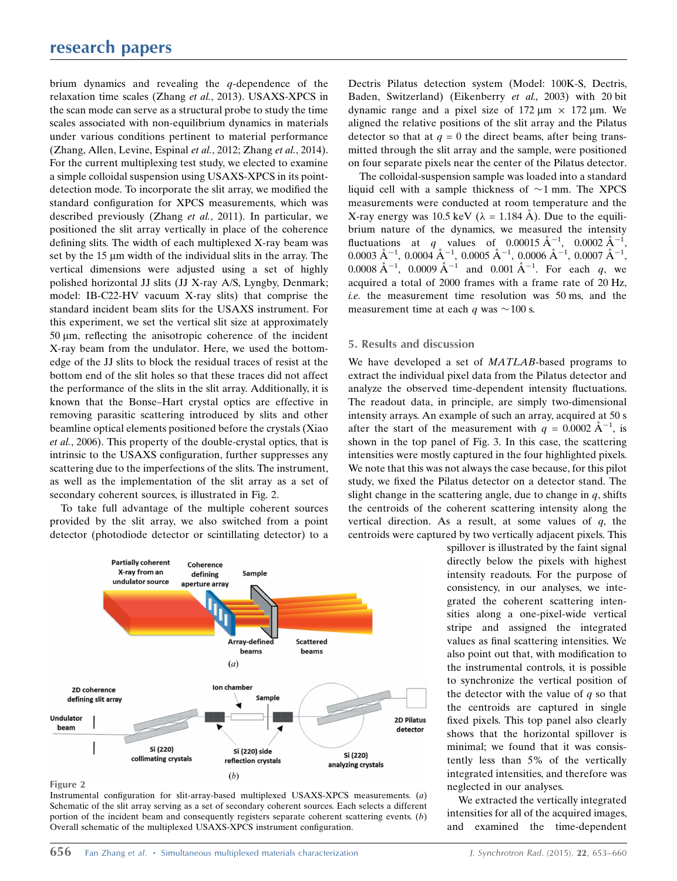brium dynamics and revealing the q-dependence of the relaxation time scales (Zhang et al., 2013). USAXS-XPCS in the scan mode can serve as a structural probe to study the time scales associated with non-equilibrium dynamics in materials under various conditions pertinent to material performance (Zhang, Allen, Levine, Espinal et al., 2012; Zhang et al., 2014). For the current multiplexing test study, we elected to examine a simple colloidal suspension using USAXS-XPCS in its pointdetection mode. To incorporate the slit array, we modified the standard configuration for XPCS measurements, which was described previously (Zhang et al., 2011). In particular, we positioned the slit array vertically in place of the coherence defining slits. The width of each multiplexed X-ray beam was set by the 15 µm width of the individual slits in the array. The vertical dimensions were adjusted using a set of highly polished horizontal JJ slits (JJ X-ray A/S, Lyngby, Denmark; model: IB-C22-HV vacuum X-ray slits) that comprise the standard incident beam slits for the USAXS instrument. For this experiment, we set the vertical slit size at approximately  $50 \mu m$ , reflecting the anisotropic coherence of the incident X-ray beam from the undulator. Here, we used the bottomedge of the JJ slits to block the residual traces of resist at the bottom end of the slit holes so that these traces did not affect the performance of the slits in the slit array. Additionally, it is known that the Bonse–Hart crystal optics are effective in removing parasitic scattering introduced by slits and other beamline optical elements positioned before the crystals (Xiao et al., 2006). This property of the double-crystal optics, that is intrinsic to the USAXS configuration, further suppresses any scattering due to the imperfections of the slits. The instrument, as well as the implementation of the slit array as a set of secondary coherent sources, is illustrated in Fig. 2.

To take full advantage of the multiple coherent sources provided by the slit array, we also switched from a point detector (photodiode detector or scintillating detector) to a



#### Figure 2

Instrumental configuration for slit-array-based multiplexed USAXS-XPCS measurements. (a) Schematic of the slit array serving as a set of secondary coherent sources. Each selects a different portion of the incident beam and consequently registers separate coherent scattering events. (b) Overall schematic of the multiplexed USAXS-XPCS instrument configuration.

Dectris Pilatus detection system (Model: 100K-S, Dectris, Baden, Switzerland) (Eikenberry et al., 2003) with 20 bit dynamic range and a pixel size of  $172 \mu m \times 172 \mu m$ . We aligned the relative positions of the slit array and the Pilatus detector so that at  $q = 0$  the direct beams, after being transmitted through the slit array and the sample, were positioned on four separate pixels near the center of the Pilatus detector.

The colloidal-suspension sample was loaded into a standard liquid cell with a sample thickness of  $\sim$ 1 mm. The XPCS measurements were conducted at room temperature and the X-ray energy was 10.5 keV ( $\lambda = 1.184$  Å). Due to the equilibrium nature of the dynamics, we measured the intensity fluctuations at q values of 0.00015  $\AA^{-1}$ , 0.0002  $\AA^{-1}$ ,  $0.0003 \textrm{ \AA}^{-1}$ ,  $0.0004 \textrm{ \AA}^{-1}$ ,  $0.0005 \textrm{ \AA}^{-1}$ ,  $0.0006 \textrm{ \AA}^{-1}$ ,  $0.0007 \textrm{ \AA}^{-1}$ , 0.0008  $\AA^{-1}$ , 0.0009  $\AA^{-1}$  and 0.001  $\AA^{-1}$ . For each q, we acquired a total of 2000 frames with a frame rate of 20 Hz, i.e. the measurement time resolution was 50 ms, and the measurement time at each q was  $\sim$  100 s.

#### 5. Results and discussion

We have developed a set of MATLAB-based programs to extract the individual pixel data from the Pilatus detector and analyze the observed time-dependent intensity fluctuations. The readout data, in principle, are simply two-dimensional intensity arrays. An example of such an array, acquired at 50 s after the start of the measurement with  $q = 0.0002 \text{ Å}^{-1}$ , is shown in the top panel of Fig. 3. In this case, the scattering intensities were mostly captured in the four highlighted pixels. We note that this was not always the case because, for this pilot study, we fixed the Pilatus detector on a detector stand. The slight change in the scattering angle, due to change in  $q$ , shifts the centroids of the coherent scattering intensity along the vertical direction. As a result, at some values of q, the centroids were captured by two vertically adjacent pixels. This

> spillover is illustrated by the faint signal directly below the pixels with highest intensity readouts. For the purpose of consistency, in our analyses, we integrated the coherent scattering intensities along a one-pixel-wide vertical stripe and assigned the integrated values as final scattering intensities. We also point out that, with modification to the instrumental controls, it is possible to synchronize the vertical position of the detector with the value of  $q$  so that the centroids are captured in single fixed pixels. This top panel also clearly shows that the horizontal spillover is minimal; we found that it was consistently less than 5% of the vertically integrated intensities, and therefore was neglected in our analyses.

We extracted the vertically integrated intensities for all of the acquired images, and examined the time-dependent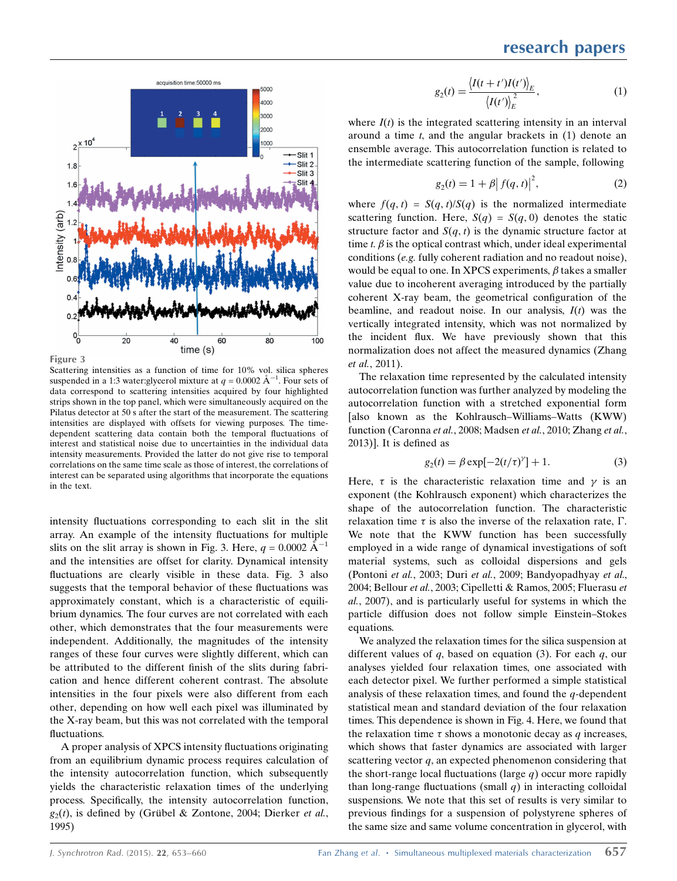

Figure 3

Scattering intensities as a function of time for 10% vol. silica spheres suspended in a 1:3 water: glycerol mixture at  $q = 0.0002 \text{ Å}^{-1}$ . Four sets of data correspond to scattering intensities acquired by four highlighted strips shown in the top panel, which were simultaneously acquired on the Pilatus detector at 50 s after the start of the measurement. The scattering intensities are displayed with offsets for viewing purposes. The timedependent scattering data contain both the temporal fluctuations of interest and statistical noise due to uncertainties in the individual data intensity measurements. Provided the latter do not give rise to temporal correlations on the same time scale as those of interest, the correlations of interest can be separated using algorithms that incorporate the equations in the text.

intensity fluctuations corresponding to each slit in the slit array. An example of the intensity fluctuations for multiple slits on the slit array is shown in Fig. 3. Here,  $q = 0.0002 \text{ Å}^{-1}$ and the intensities are offset for clarity. Dynamical intensity fluctuations are clearly visible in these data. Fig. 3 also suggests that the temporal behavior of these fluctuations was approximately constant, which is a characteristic of equilibrium dynamics. The four curves are not correlated with each other, which demonstrates that the four measurements were independent. Additionally, the magnitudes of the intensity ranges of these four curves were slightly different, which can be attributed to the different finish of the slits during fabrication and hence different coherent contrast. The absolute intensities in the four pixels were also different from each other, depending on how well each pixel was illuminated by the X-ray beam, but this was not correlated with the temporal fluctuations.

A proper analysis of XPCS intensity fluctuations originating from an equilibrium dynamic process requires calculation of the intensity autocorrelation function, which subsequently yields the characteristic relaxation times of the underlying process. Specifically, the intensity autocorrelation function,  $g_2(t)$ , is defined by (Grübel & Zontone, 2004; Dierker et al., 1995)

$$
g_2(t) = \frac{\langle I(t+t')I(t')\rangle_E}{\langle I(t')\rangle_E^2},\tag{1}
$$

where  $I(t)$  is the integrated scattering intensity in an interval around a time  $t$ , and the angular brackets in  $(1)$  denote an ensemble average. This autocorrelation function is related to the intermediate scattering function of the sample, following

$$
g_2(t) = 1 + \beta |f(q, t)|^2,
$$
 (2)

where  $f(q, t) = S(q, t)/S(q)$  is the normalized intermediate scattering function. Here,  $S(q) = S(q, 0)$  denotes the static structure factor and  $S(q, t)$  is the dynamic structure factor at time  $t$ .  $\beta$  is the optical contrast which, under ideal experimental conditions (e.g. fully coherent radiation and no readout noise), would be equal to one. In XPCS experiments,  $\beta$  takes a smaller value due to incoherent averaging introduced by the partially coherent X-ray beam, the geometrical configuration of the beamline, and readout noise. In our analysis,  $I(t)$  was the vertically integrated intensity, which was not normalized by the incident flux. We have previously shown that this normalization does not affect the measured dynamics (Zhang et al., 2011).

The relaxation time represented by the calculated intensity autocorrelation function was further analyzed by modeling the autocorrelation function with a stretched exponential form [also known as the Kohlrausch–Williams–Watts (KWW) function (Caronna et al., 2008; Madsen et al., 2010; Zhang et al., 2013)]. It is defined as

$$
g_2(t) = \beta \exp[-2(t/\tau)^{\gamma}] + 1.
$$
 (3)

Here,  $\tau$  is the characteristic relaxation time and  $\gamma$  is an exponent (the Kohlrausch exponent) which characterizes the shape of the autocorrelation function. The characteristic relaxation time  $\tau$  is also the inverse of the relaxation rate,  $\Gamma$ . We note that the KWW function has been successfully employed in a wide range of dynamical investigations of soft material systems, such as colloidal dispersions and gels (Pontoni et al., 2003; Duri et al., 2009; Bandyopadhyay et al., 2004; Bellour et al., 2003; Cipelletti & Ramos, 2005; Fluerasu et al., 2007), and is particularly useful for systems in which the particle diffusion does not follow simple Einstein–Stokes equations.

We analyzed the relaxation times for the silica suspension at different values of  $q$ , based on equation (3). For each  $q$ , our analyses yielded four relaxation times, one associated with each detector pixel. We further performed a simple statistical analysis of these relaxation times, and found the  $q$ -dependent statistical mean and standard deviation of the four relaxation times. This dependence is shown in Fig. 4. Here, we found that the relaxation time  $\tau$  shows a monotonic decay as q increases, which shows that faster dynamics are associated with larger scattering vector  $q$ , an expected phenomenon considering that the short-range local fluctuations (large  $q$ ) occur more rapidly than long-range fluctuations (small  $q$ ) in interacting colloidal suspensions. We note that this set of results is very similar to previous findings for a suspension of polystyrene spheres of the same size and same volume concentration in glycerol, with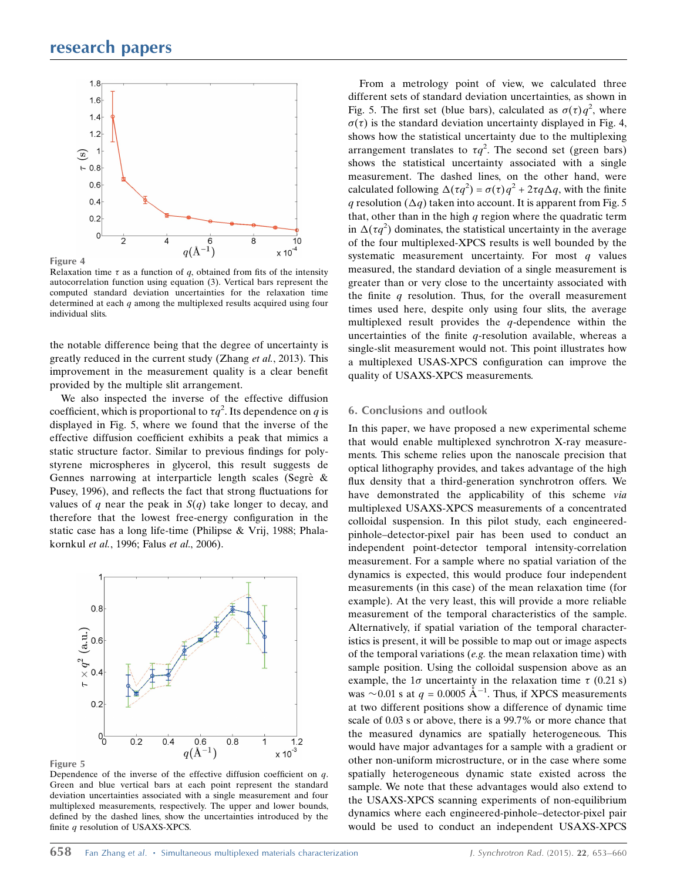

Figure 4

Relaxation time  $\tau$  as a function of q, obtained from fits of the intensity autocorrelation function using equation (3). Vertical bars represent the computed standard deviation uncertainties for the relaxation time determined at each  $q$  among the multiplexed results acquired using four individual slits.

the notable difference being that the degree of uncertainty is greatly reduced in the current study (Zhang et al., 2013). This improvement in the measurement quality is a clear benefit provided by the multiple slit arrangement.

We also inspected the inverse of the effective diffusion coefficient, which is proportional to  $\tau q^2$ . Its dependence on q is displayed in Fig. 5, where we found that the inverse of the effective diffusion coefficient exhibits a peak that mimics a static structure factor. Similar to previous findings for polystyrene microspheres in glycerol, this result suggests de Gennes narrowing at interparticle length scales (Segrè  $\&$ Pusey, 1996), and reflects the fact that strong fluctuations for values of q near the peak in  $S(q)$  take longer to decay, and therefore that the lowest free-energy configuration in the static case has a long life-time (Philipse & Vrij, 1988; Phalakornkul et al., 1996; Falus et al., 2006).



Figure 5

Dependence of the inverse of the effective diffusion coefficient on  $q$ . Green and blue vertical bars at each point represent the standard deviation uncertainties associated with a single measurement and four multiplexed measurements, respectively. The upper and lower bounds, defined by the dashed lines, show the uncertainties introduced by the finite  $q$  resolution of USAXS-XPCS.

From a metrology point of view, we calculated three different sets of standard deviation uncertainties, as shown in Fig. 5. The first set (blue bars), calculated as  $\sigma(\tau)q^2$ , where  $\sigma(\tau)$  is the standard deviation uncertainty displayed in Fig. 4, shows how the statistical uncertainty due to the multiplexing arrangement translates to  $\tau q^2$ . The second set (green bars) shows the statistical uncertainty associated with a single measurement. The dashed lines, on the other hand, were calculated following  $\Delta(\tau q^2) = \sigma(\tau)q^2 + 2\tau q \Delta q$ , with the finite q resolution  $(\Delta q)$  taken into account. It is apparent from Fig. 5 that, other than in the high  $q$  region where the quadratic term in  $\Delta(\tau q^2)$  dominates, the statistical uncertainty in the average of the four multiplexed-XPCS results is well bounded by the systematic measurement uncertainty. For most  $q$  values measured, the standard deviation of a single measurement is greater than or very close to the uncertainty associated with the finite  $q$  resolution. Thus, for the overall measurement times used here, despite only using four slits, the average multiplexed result provides the q-dependence within the uncertainties of the finite  $q$ -resolution available, whereas a single-slit measurement would not. This point illustrates how a multiplexed USAS-XPCS configuration can improve the quality of USAXS-XPCS measurements.

#### 6. Conclusions and outlook

In this paper, we have proposed a new experimental scheme that would enable multiplexed synchrotron X-ray measurements. This scheme relies upon the nanoscale precision that optical lithography provides, and takes advantage of the high flux density that a third-generation synchrotron offers. We have demonstrated the applicability of this scheme via multiplexed USAXS-XPCS measurements of a concentrated colloidal suspension. In this pilot study, each engineeredpinhole–detector-pixel pair has been used to conduct an independent point-detector temporal intensity-correlation measurement. For a sample where no spatial variation of the dynamics is expected, this would produce four independent measurements (in this case) of the mean relaxation time (for example). At the very least, this will provide a more reliable measurement of the temporal characteristics of the sample. Alternatively, if spatial variation of the temporal characteristics is present, it will be possible to map out or image aspects of the temporal variations (e.g. the mean relaxation time) with sample position. Using the colloidal suspension above as an example, the 1 $\sigma$  uncertainty in the relaxation time  $\tau$  (0.21 s) was  $\sim$  0.01 s at  $q = 0.0005 \text{ Å}^{-1}$ . Thus, if XPCS measurements at two different positions show a difference of dynamic time scale of 0.03 s or above, there is a 99.7% or more chance that the measured dynamics are spatially heterogeneous. This would have major advantages for a sample with a gradient or other non-uniform microstructure, or in the case where some spatially heterogeneous dynamic state existed across the sample. We note that these advantages would also extend to the USAXS-XPCS scanning experiments of non-equilibrium dynamics where each engineered-pinhole–detector-pixel pair would be used to conduct an independent USAXS-XPCS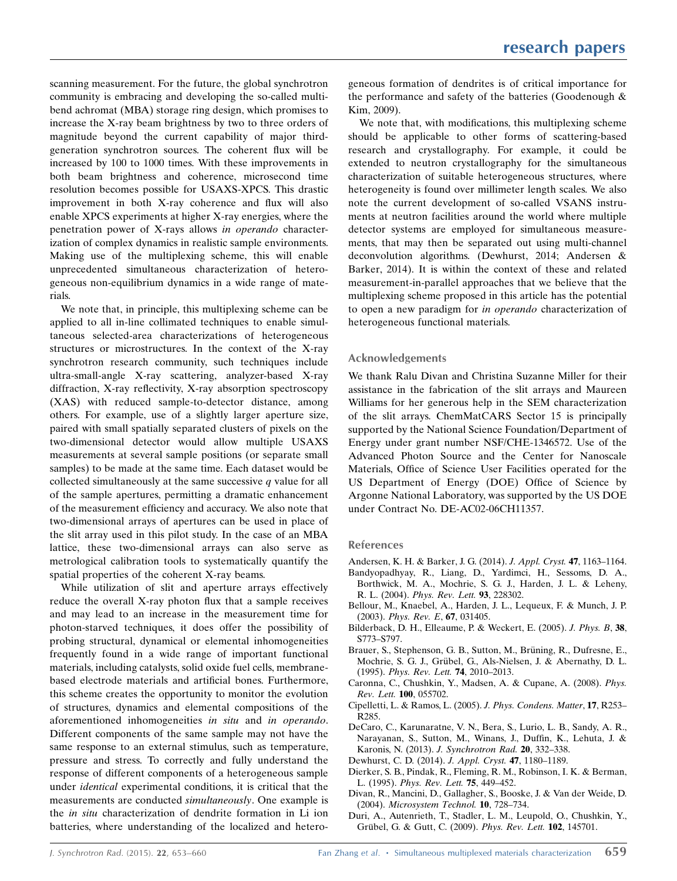scanning measurement. For the future, the global synchrotron community is embracing and developing the so-called multibend achromat (MBA) storage ring design, which promises to increase the X-ray beam brightness by two to three orders of magnitude beyond the current capability of major thirdgeneration synchrotron sources. The coherent flux will be increased by 100 to 1000 times. With these improvements in both beam brightness and coherence, microsecond time resolution becomes possible for USAXS-XPCS. This drastic improvement in both X-ray coherence and flux will also enable XPCS experiments at higher X-ray energies, where the penetration power of X-rays allows in operando characterization of complex dynamics in realistic sample environments. Making use of the multiplexing scheme, this will enable unprecedented simultaneous characterization of heterogeneous non-equilibrium dynamics in a wide range of materials.

We note that, in principle, this multiplexing scheme can be applied to all in-line collimated techniques to enable simultaneous selected-area characterizations of heterogeneous structures or microstructures. In the context of the X-ray synchrotron research community, such techniques include ultra-small-angle X-ray scattering, analyzer-based X-ray diffraction, X-ray reflectivity, X-ray absorption spectroscopy (XAS) with reduced sample-to-detector distance, among others. For example, use of a slightly larger aperture size, paired with small spatially separated clusters of pixels on the two-dimensional detector would allow multiple USAXS measurements at several sample positions (or separate small samples) to be made at the same time. Each dataset would be collected simultaneously at the same successive  $q$  value for all of the sample apertures, permitting a dramatic enhancement of the measurement efficiency and accuracy. We also note that two-dimensional arrays of apertures can be used in place of the slit array used in this pilot study. In the case of an MBA lattice, these two-dimensional arrays can also serve as metrological calibration tools to systematically quantify the spatial properties of the coherent X-ray beams.

While utilization of slit and aperture arrays effectively reduce the overall X-ray photon flux that a sample receives and may lead to an increase in the measurement time for photon-starved techniques, it does offer the possibility of probing structural, dynamical or elemental inhomogeneities frequently found in a wide range of important functional materials, including catalysts, solid oxide fuel cells, membranebased electrode materials and artificial bones. Furthermore, this scheme creates the opportunity to monitor the evolution of structures, dynamics and elemental compositions of the aforementioned inhomogeneities in situ and in operando. Different components of the same sample may not have the same response to an external stimulus, such as temperature, pressure and stress. To correctly and fully understand the response of different components of a heterogeneous sample under identical experimental conditions, it is critical that the measurements are conducted simultaneously. One example is the in situ characterization of dendrite formation in Li ion batteries, where understanding of the localized and heterogeneous formation of dendrites is of critical importance for the performance and safety of the batteries (Goodenough & Kim, 2009).

We note that, with modifications, this multiplexing scheme should be applicable to other forms of scattering-based research and crystallography. For example, it could be extended to neutron crystallography for the simultaneous characterization of suitable heterogeneous structures, where heterogeneity is found over millimeter length scales. We also note the current development of so-called VSANS instruments at neutron facilities around the world where multiple detector systems are employed for simultaneous measurements, that may then be separated out using multi-channel deconvolution algorithms. (Dewhurst, 2014; Andersen & Barker, 2014). It is within the context of these and related measurement-in-parallel approaches that we believe that the multiplexing scheme proposed in this article has the potential to open a new paradigm for in operando characterization of heterogeneous functional materials.

# Acknowledgements

We thank Ralu Divan and Christina Suzanne Miller for their assistance in the fabrication of the slit arrays and Maureen Williams for her generous help in the SEM characterization of the slit arrays. ChemMatCARS Sector 15 is principally supported by the National Science Foundation/Department of Energy under grant number NSF/CHE-1346572. Use of the Advanced Photon Source and the Center for Nanoscale Materials, Office of Science User Facilities operated for the US Department of Energy (DOE) Office of Science by Argonne National Laboratory, was supported by the US DOE under Contract No. DE-AC02-06CH11357.

## References

- [Andersen, K. H. & Barker, J. G. \(2014\).](http://scripts.iucr.org/cgi-bin/cr.cgi?rm=pdfbb&cnor=vv5110&bbid=BB1) J. Appl. Cryst. 47, 1163–1164.
- [Bandyopadhyay, R., Liang, D., Yardimci, H., Sessoms, D. A.,](http://scripts.iucr.org/cgi-bin/cr.cgi?rm=pdfbb&cnor=vv5110&bbid=BB2) [Borthwick, M. A., Mochrie, S. G. J., Harden, J. L. & Leheny,](http://scripts.iucr.org/cgi-bin/cr.cgi?rm=pdfbb&cnor=vv5110&bbid=BB2) R. L. (2004). [Phys. Rev. Lett.](http://scripts.iucr.org/cgi-bin/cr.cgi?rm=pdfbb&cnor=vv5110&bbid=BB2) 93, 228302.
- [Bellour, M., Knaebel, A., Harden, J. L., Lequeux, F. & Munch, J. P.](http://scripts.iucr.org/cgi-bin/cr.cgi?rm=pdfbb&cnor=vv5110&bbid=BB3) (2003). [Phys. Rev. E](http://scripts.iucr.org/cgi-bin/cr.cgi?rm=pdfbb&cnor=vv5110&bbid=BB3), 67, 031405.
- [Bilderback, D. H., Elleaume, P. & Weckert, E. \(2005\).](http://scripts.iucr.org/cgi-bin/cr.cgi?rm=pdfbb&cnor=vv5110&bbid=BB4) J. Phys. B, 38, [S773–S797.](http://scripts.iucr.org/cgi-bin/cr.cgi?rm=pdfbb&cnor=vv5110&bbid=BB4)
- Brauer, S., Stephenson, G. B., Sutton, M., Brüning, R., Dufresne, E., Mochrie, S. G. J., Grübel, G., Als-Nielsen, J. & Abernathy, D. L. (1995). [Phys. Rev. Lett.](http://scripts.iucr.org/cgi-bin/cr.cgi?rm=pdfbb&cnor=vv5110&bbid=BB5) 74, 2010–2013.
- [Caronna, C., Chushkin, Y., Madsen, A. & Cupane, A. \(2008\).](http://scripts.iucr.org/cgi-bin/cr.cgi?rm=pdfbb&cnor=vv5110&bbid=BB6) Phys. [Rev. Lett.](http://scripts.iucr.org/cgi-bin/cr.cgi?rm=pdfbb&cnor=vv5110&bbid=BB6) 100, 055702.
- [Cipelletti, L. & Ramos, L. \(2005\).](http://scripts.iucr.org/cgi-bin/cr.cgi?rm=pdfbb&cnor=vv5110&bbid=BB7) J. Phys. Condens. Matter, 17, R253– [R285.](http://scripts.iucr.org/cgi-bin/cr.cgi?rm=pdfbb&cnor=vv5110&bbid=BB7)
- [DeCaro, C., Karunaratne, V. N., Bera, S., Lurio, L. B., Sandy, A. R.,](http://scripts.iucr.org/cgi-bin/cr.cgi?rm=pdfbb&cnor=vv5110&bbid=BB8) [Narayanan, S., Sutton, M., Winans, J., Duffin, K., Lehuta, J. &](http://scripts.iucr.org/cgi-bin/cr.cgi?rm=pdfbb&cnor=vv5110&bbid=BB8) Karonis, N. (2013). [J. Synchrotron Rad.](http://scripts.iucr.org/cgi-bin/cr.cgi?rm=pdfbb&cnor=vv5110&bbid=BB8) 20, 332–338.
- [Dewhurst, C. D. \(2014\).](http://scripts.iucr.org/cgi-bin/cr.cgi?rm=pdfbb&cnor=vv5110&bbid=BB9) J. Appl. Cryst. 47, 1180–1189.
- [Dierker, S. B., Pindak, R., Fleming, R. M., Robinson, I. K. & Berman,](http://scripts.iucr.org/cgi-bin/cr.cgi?rm=pdfbb&cnor=vv5110&bbid=BB10) L. (1995). [Phys. Rev. Lett.](http://scripts.iucr.org/cgi-bin/cr.cgi?rm=pdfbb&cnor=vv5110&bbid=BB10) 75, 449–452.
- [Divan, R., Mancini, D., Gallagher, S., Booske, J. & Van der Weide, D.](http://scripts.iucr.org/cgi-bin/cr.cgi?rm=pdfbb&cnor=vv5110&bbid=BB11) (2004). [Microsystem Technol.](http://scripts.iucr.org/cgi-bin/cr.cgi?rm=pdfbb&cnor=vv5110&bbid=BB11) 10, 728–734.
- [Duri, A., Autenrieth, T., Stadler, L. M., Leupold, O., Chushkin, Y.,](http://scripts.iucr.org/cgi-bin/cr.cgi?rm=pdfbb&cnor=vv5110&bbid=BB12) Grübel, G. & Gutt, C. (2009). Phys. Rev. Lett. 102, 145701.